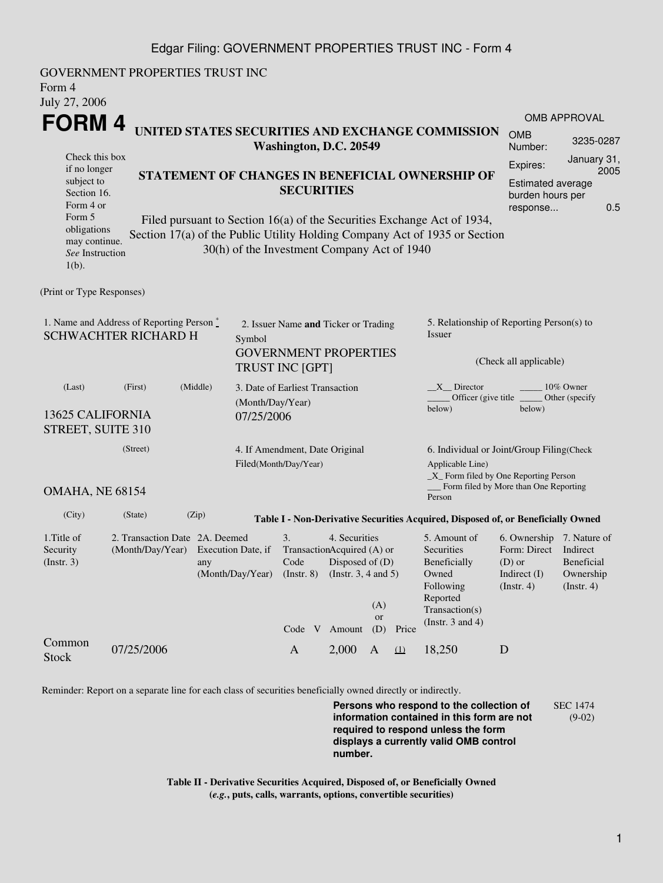## Edgar Filing: GOVERNMENT PROPERTIES TRUST INC - Form 4

| Form 4<br>July 27, 2006                                                                                                                                                                                                                                                                                                                                                                                                                                                 | GOVERNMENT PROPERTIES TRUST INC                                       |                                                                                                     |                                         |                                                                                                                            |                                                                                          |                                                                                                                         |                                                                                                    |                                                                                                         |  |  |  |
|-------------------------------------------------------------------------------------------------------------------------------------------------------------------------------------------------------------------------------------------------------------------------------------------------------------------------------------------------------------------------------------------------------------------------------------------------------------------------|-----------------------------------------------------------------------|-----------------------------------------------------------------------------------------------------|-----------------------------------------|----------------------------------------------------------------------------------------------------------------------------|------------------------------------------------------------------------------------------|-------------------------------------------------------------------------------------------------------------------------|----------------------------------------------------------------------------------------------------|---------------------------------------------------------------------------------------------------------|--|--|--|
| FORM 4<br>Check this box<br>if no longer                                                                                                                                                                                                                                                                                                                                                                                                                                |                                                                       | UNITED STATES SECURITIES AND EXCHANGE COMMISSION<br><b>OMB</b><br>Washington, D.C. 20549<br>Number: |                                         |                                                                                                                            |                                                                                          |                                                                                                                         |                                                                                                    |                                                                                                         |  |  |  |
| Expires:<br>STATEMENT OF CHANGES IN BENEFICIAL OWNERSHIP OF<br>subject to<br><b>Estimated average</b><br><b>SECURITIES</b><br>Section 16.<br>burden hours per<br>Form 4 or<br>response<br>Form 5<br>Filed pursuant to Section 16(a) of the Securities Exchange Act of 1934,<br>obligations<br>Section 17(a) of the Public Utility Holding Company Act of 1935 or Section<br>may continue.<br>30(h) of the Investment Company Act of 1940<br>See Instruction<br>$1(b)$ . |                                                                       |                                                                                                     |                                         |                                                                                                                            |                                                                                          |                                                                                                                         |                                                                                                    |                                                                                                         |  |  |  |
| (Print or Type Responses)                                                                                                                                                                                                                                                                                                                                                                                                                                               |                                                                       |                                                                                                     |                                         |                                                                                                                            |                                                                                          |                                                                                                                         |                                                                                                    |                                                                                                         |  |  |  |
| 1. Name and Address of Reporting Person *<br><b>SCHWACHTER RICHARD H</b>                                                                                                                                                                                                                                                                                                                                                                                                | Symbol                                                                | 2. Issuer Name and Ticker or Trading<br><b>GOVERNMENT PROPERTIES</b><br>TRUST INC [GPT]             |                                         |                                                                                                                            |                                                                                          | 5. Relationship of Reporting Person(s) to<br>Issuer<br>(Check all applicable)                                           |                                                                                                    |                                                                                                         |  |  |  |
| (Last)<br>13625 CALIFORNIA<br>STREET, SUITE 310                                                                                                                                                                                                                                                                                                                                                                                                                         | 3. Date of Earliest Transaction<br>(Month/Day/Year)<br>07/25/2006     |                                                                                                     |                                         |                                                                                                                            | $X$ Director<br>10% Owner<br>Officer (give title _<br>Other (specify<br>below)<br>below) |                                                                                                                         |                                                                                                    |                                                                                                         |  |  |  |
| (Street)<br>Filed(Month/Day/Year)                                                                                                                                                                                                                                                                                                                                                                                                                                       |                                                                       |                                                                                                     |                                         | 4. If Amendment, Date Original                                                                                             |                                                                                          |                                                                                                                         |                                                                                                    | 6. Individual or Joint/Group Filing(Check<br>Applicable Line)<br>_X_ Form filed by One Reporting Person |  |  |  |
| OMAHA, NE 68154                                                                                                                                                                                                                                                                                                                                                                                                                                                         |                                                                       |                                                                                                     |                                         |                                                                                                                            |                                                                                          |                                                                                                                         | Form filed by More than One Reporting<br>Person                                                    |                                                                                                         |  |  |  |
| (City)                                                                                                                                                                                                                                                                                                                                                                                                                                                                  | (State)<br>(Zip)                                                      |                                                                                                     |                                         |                                                                                                                            |                                                                                          |                                                                                                                         | Table I - Non-Derivative Securities Acquired, Disposed of, or Beneficially Owned                   |                                                                                                         |  |  |  |
| 1. Title of<br>Security<br>(Insert. 3)                                                                                                                                                                                                                                                                                                                                                                                                                                  | 2. Transaction Date 2A. Deemed<br>(Month/Day/Year) Execution Date, if | any<br>(Month/Day/Year)                                                                             | 3.<br>Code<br>$($ Instr. $8)$<br>Code V | 4. Securities<br>TransactionAcquired (A) or<br>Disposed of (D)<br>(Instr. $3, 4$ and $5$ )<br>(A)<br>or<br>Amount<br>Price |                                                                                          | 5. Amount of<br>Securities<br>Beneficially<br>Owned<br>Following<br>Reported<br>Transaction(s)<br>(Instr. $3$ and $4$ ) | 6. Ownership 7. Nature of<br>Form: Direct Indirect<br>$(D)$ or<br>Indirect (I)<br>$($ Instr. 4 $)$ | Beneficial<br>Ownership<br>(Insert. 4)                                                                  |  |  |  |
| Common<br><b>Stock</b>                                                                                                                                                                                                                                                                                                                                                                                                                                                  | 07/25/2006                                                            |                                                                                                     | $\mathbf{A}$                            | 2,000                                                                                                                      | (D)<br>$\mathbf{A}$                                                                      | (1)                                                                                                                     | 18,250                                                                                             | D                                                                                                       |  |  |  |

Reminder: Report on a separate line for each class of securities beneficially owned directly or indirectly.

**Persons who respond to the collection of information contained in this form are not required to respond unless the form displays a currently valid OMB control number.** SEC 1474 (9-02)

**Table II - Derivative Securities Acquired, Disposed of, or Beneficially Owned (***e.g.***, puts, calls, warrants, options, convertible securities)**